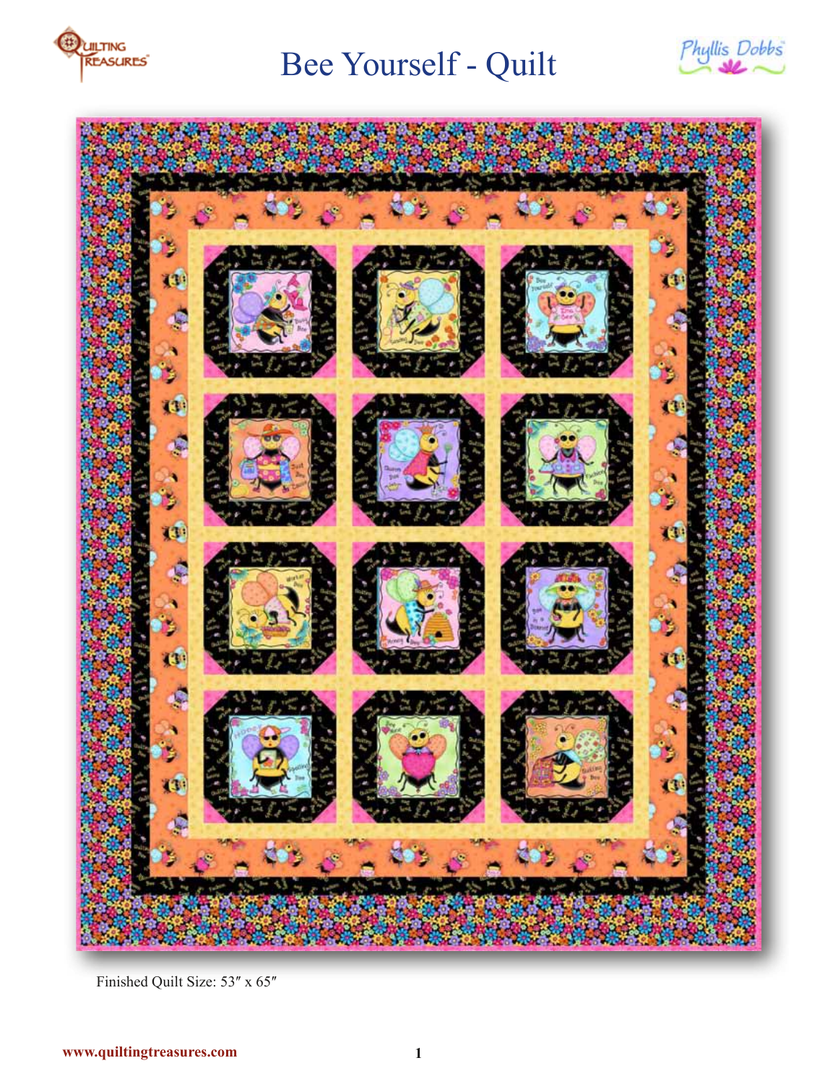

# Bee Yourself - Quilt





Finished Quilt Size: 53" x 65"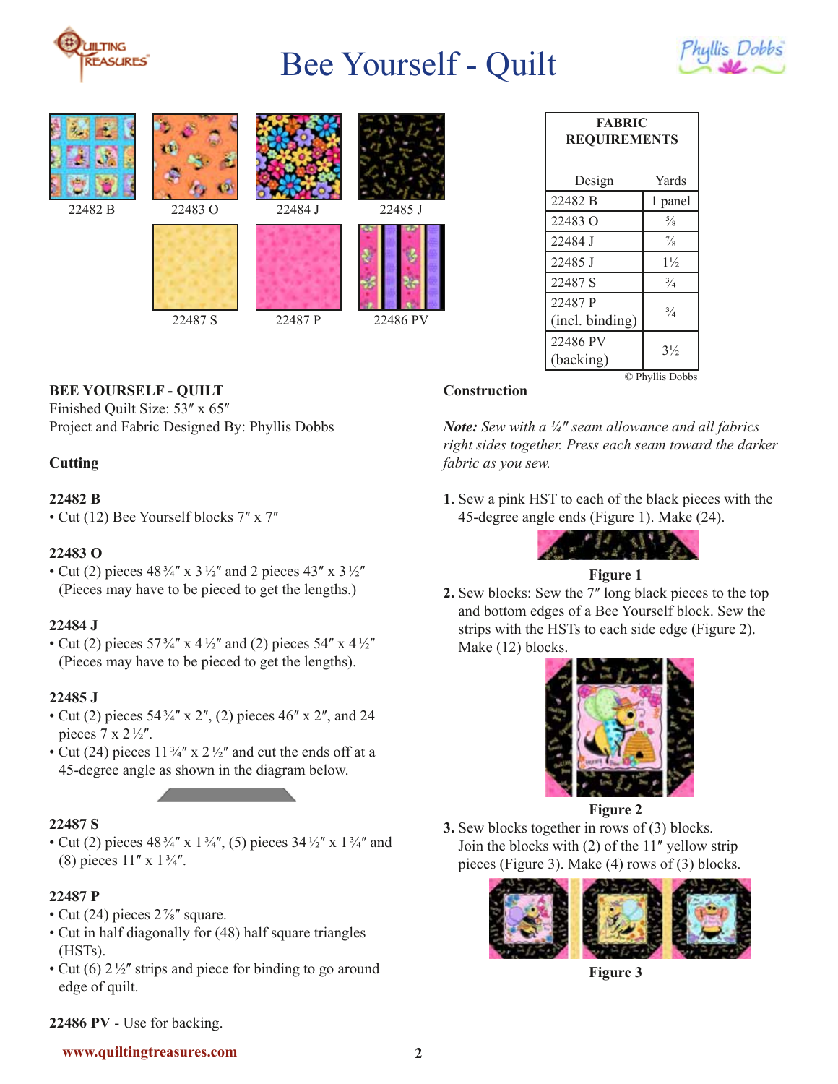

# Bee Yourself - Quilt











22487 S 22487 P 22486 PV

| <b>FABRIC</b><br><b>REQUIREMENTS</b> |                |
|--------------------------------------|----------------|
| Design                               | Yards          |
| 22482 B                              | 1 panel        |
| 22483 Q                              | $\frac{5}{8}$  |
| 22484 J                              | $\frac{7}{8}$  |
| 22485 J                              | $1\frac{1}{2}$ |
| 22487 S                              | $\frac{3}{4}$  |
| 22487 P<br>(incl. binding)           | $\frac{3}{4}$  |
| 22486 PV<br>(backing)                | $3\frac{1}{2}$ |
| © Phyllis Dobbs                      |                |

## **BEE YOURSELF - QUILT**

Finished Quilt Size: 53" x 65" Project and Fabric Designed By: Phyllis Dobbs

### **Cutting**

#### **22482 B**

• Cut (12) Bee Yourself blocks 7" x 7"

### **22483 O**

• Cut (2) pieces  $48\frac{3}{4}$  x  $3\frac{1}{2}$  and 2 pieces  $43$  x  $3\frac{1}{2}$ (Pieces may have to be pieced to get the lengths.)

### **22484 J**

• Cut (2) pieces  $57\frac{3}{4}$  x  $4\frac{1}{2}$  and (2) pieces  $54$  x  $4\frac{1}{2}$ (Pieces may have to be pieced to get the lengths).

### **22485 J**

- Cut (2) pieces  $54\frac{3}{4}$  x 2'', (2) pieces 46'' x 2'', and 24 pieces  $7 \times 2\frac{1}{2}$ .
- Cut (24) pieces  $11\frac{3}{4}$  x  $2\frac{1}{2}$  and cut the ends off at a 45-degree angle as shown in the diagram below.

### **22487 S**

• Cut (2) pieces  $48\frac{3}{4}$  x  $1\frac{3}{4}$ , (5) pieces  $34\frac{1}{2}$  x  $1\frac{3}{4}$  and (8) pieces  $11'' \times 1\frac{3}{4}$ .

### **22487 P**

- Cut (24) pieces  $2\frac{7}{8}$  square.
- Cut in half diagonally for (48) half square triangles (HSTs).
- Cut (6)  $2\frac{1}{2}$ " strips and piece for binding to go around edge of quilt.

#### **Construction**

*Note: Sew with a ¼ʺ seam allowance and all fabrics right sides together. Press each seam toward the darker fabric as you sew.*

**1.** Sew a pink HST to each of the black pieces with the 45-degree angle ends (Figure 1). Make (24).



## **Figure 1**

**2.** Sew blocks: Sew the 7" long black pieces to the top and bottom edges of a Bee Yourself block. Sew the strips with the HSTs to each side edge (Figure 2). Make (12) blocks.



#### **Figure 2**

**3.** Sew blocks together in rows of (3) blocks. Join the blocks with (2) of the 11" yellow strip pieces (Figure 3). Make (4) rows of (3) blocks.



**Figure 3**

#### **22486 PV** - Use for backing.

#### **www.quiltingtreasures.com 2**